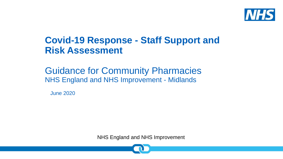

### **Covid-19 Response - Staff Support and Risk Assessment**

### Guidance for Community Pharmacies NHS England and NHS Improvement - Midlands

June 2020

NHS England and NHS Improvement

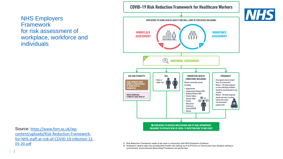### NHS Employers **Framework** for risk assessment of workplace, workforce and individuals



Source: https://www.fom.ac.uk/wpcontent/uploads/Risk-Reduction-Framework[for-NHS-staff-at-risk-of-COVID-19-infection-12-](https://www.fom.ac.uk/wp-content/uploads/Risk-Reduction-Framework-for-NHS-staff-at-risk-of-COVID-19-infection-12-05-20.pdf) 05-20.pdf

- A. Risk Reduction Framework needs to be used in conjunction with NHS Employers Guidance
- B. Employers need to take into consideration health care setting such as Primary or Community Care, Hospital setting or environment where Aerosol Generating Procedures are performed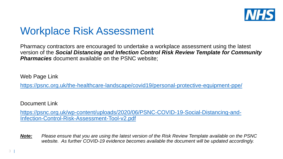

### Workplace Risk Assessment

Pharmacy contractors are encouraged to undertake a workplace assessment using the latest version of the *Social Distancing and Infection Control Risk Review Template for Community*  **Pharmacies** document available on the PSNC website;

Web Page Link

<https://psnc.org.uk/the-healthcare-landscape/covid19/personal-protective-equipment-ppe/>

Document Link

[https://psnc.org.uk/wp-content/uploads/2020/06/PSNC-COVID-19-Social-Distancing-and-](https://psnc.org.uk/wp-content/uploads/2020/06/PSNC-COVID-19-Social-Distancing-and-Infection-Control-Risk-Assessment-Tool-v2.pdf)Infection-Control-Risk-Assessment-Tool-v2.pdf

*Note: Please ensure that you are using the latest version of the Risk Review Template available on the PSNC website. As further COVID-19 evidence becomes available the document will be updated accordingly.*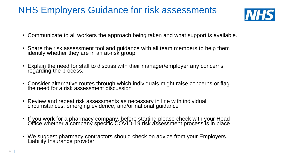### NHS Employers Guidance for risk assessments



- Communicate to all workers the approach being taken and what support is available.
- Share the risk assessment tool and guidance with all team members to help them identify whether they are in an at-risk group
- Explain the need for staff to discuss with their manager/employer any concerns regarding the process.
- Consider alternative routes through which individuals might raise concerns or flag the need for a risk assessment discussion
- Review and repeat risk assessments as necessary in line with individual circumstances, emerging evidence, and/or nationál guidance
- If you work for a pharmacy company, before starting please check with your Head Office whether a company specific COVID-19 risk assessment process is in place
- We suggest pharmacy contractors should check on advice from your Employers Liability Insurance provider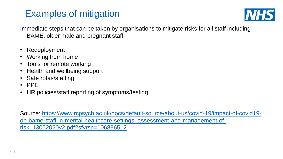### Examples of mitigation



Immediate steps that can be taken by organisations to mitigate risks for all staff including BAME, older male and pregnant staff.

- Redeployment
- Working from home
- Tools for remote working
- Health and wellbeing support
- Safe rotas/staffing
- PPE
- HR policies/staff reporting of symptoms/testing

[Source: https://www.rcpsych.ac.uk/docs/default-source/about-us/covid-19/impact-of-covid19](https://www.rcpsych.ac.uk/docs/default-source/about-us/covid-19/impact-of-covid19-on-bame-staff-in-mental-healthcare-settings_assessment-and-management-of-risk_13052020v2.pdf?sfvrsn=1068965_2) on-bame-staff-in-mental-healthcare-settings\_assessment-and-management-ofrisk\_13052020v2.pdf?sfvrsn=1068965\_2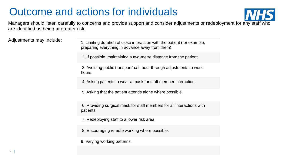## Outcome and actions for individuals



Managers should listen carefully to concerns and provide support and consider adjustments or redeployment for any staff who are identified as being at greater risk.

Adjustments may include:

|  | 1. Limiting duration of close interaction with the patient (for example,<br>preparing everything in advance away from them). |
|--|------------------------------------------------------------------------------------------------------------------------------|
|  | 2. If possible, maintaining a two-metre distance from the patient.                                                           |
|  | 3. Avoiding public transport/rush hour through adjustments to work<br>hours.                                                 |
|  | 4. Asking patients to wear a mask for staff member interaction.                                                              |
|  | 5. Asking that the patient attends alone where possible.                                                                     |
|  | 6. Providing surgical mask for staff members for all interactions with<br>patients.                                          |
|  | 7. Redeploying staff to a lower risk area.                                                                                   |
|  | 8. Encouraging remote working where possible.                                                                                |
|  | 9. Varying working patterns.                                                                                                 |
|  |                                                                                                                              |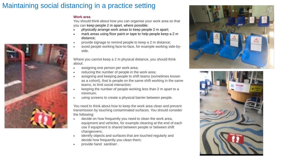### Maintaining social distancing in a practice setting

### **Work area**

You should think about how you can organise your work area so that you can keep people 2 m apart, where possible:

- physically arrange work areas to keep people 2 m apart;
- mark areas using floor paint or tape to help people keep a 2 m distance;
- provide signage to remind people to keep a 2 m distance;
- avoid people working face-to-face, for example working side-byside.

Where you cannot keep a 2 m physical distance, you should think about:

- assigning one person per work area;
- reducing the number of people in the work area;
- assigning and keeping people to shift teams (sometimes known as a cohort), that is people on the same shift working in the same teams, to limit social interaction;
- keeping the number of people working less than 2 m apart to a minimum;
- using screens to create a physical barrier between people.

You need to think about how to keep the work area clean and prevent transmission by touching contaminated surfaces. You should consider the following:

- decide on how frequently you need to clean the work area, equipment and vehicles, for example cleaning at the end of each use if equipment is shared between people or between shift changeovers;
- identify objects and surfaces that are touched regularly and decide how frequently you clean them;
- provide hand sanitiser .





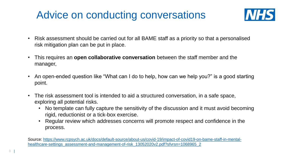## Advice on conducting conversations



- Risk assessment should be carried out for all BAME staff as a priority so that a personalised risk mitigation plan can be put in place.
- This requires an **open collaborative conversation** between the staff member and the manager,
- An open-ended question like "What can I do to help, how can we help you?" is a good starting point.
- The risk assessment tool is intended to aid a structured conversation, in a safe space, exploring all potential risks.
	- No template can fully capture the sensitivity of the discussion and it must avoid becoming rigid, reductionist or a tick-box exercise.
	- Regular review which addresses concerns will promote respect and confidence in the process.

[Source: https://www.rcpsych.ac.uk/docs/default-source/about-us/covid-19/impact-of-covid19-on-bame-staff-in-mental](https://www.rcpsych.ac.uk/docs/default-source/about-us/covid-19/impact-of-covid19-on-bame-staff-in-mental-healthcare-settings_assessment-and-management-of-risk_13052020v2.pdf?sfvrsn=1068965_2)healthcare-settings\_assessment-and-management-of-risk\_13052020v2.pdf?sfvrsn=1068965\_2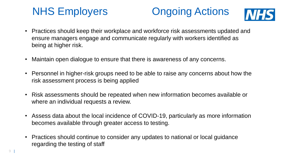# NHS Employers **Ongoing Actions**



- Practices should keep their workplace and workforce risk assessments updated and ensure managers engage and communicate regularly with workers identified as being at higher risk.
- Maintain open dialogue to ensure that there is awareness of any concerns.
- Personnel in higher-risk groups need to be able to raise any concerns about how the risk assessment process is being applied
- Risk assessments should be repeated when new information becomes available or where an individual requests a review.
- Assess data about the local incidence of COVID-19, particularly as more information becomes available through greater access to testing.
- Practices should continue to consider any updates to national or local guidance regarding the testing of staff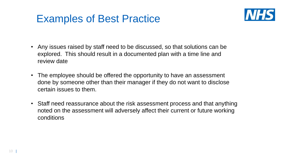### Examples of Best Practice



- Any issues raised by staff need to be discussed, so that solutions can be explored. This should result in a documented plan with a time line and review date
- The employee should be offered the opportunity to have an assessment done by someone other than their manager if they do not want to disclose certain issues to them.
- Staff need reassurance about the risk assessment process and that anything noted on the assessment will adversely affect their current or future working conditions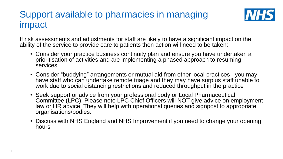### Support available to pharmacies in managing impact



If risk assessments and adjustments for staff are likely to have a significant impact on the ability of the service to provide care to patients then action will need to be taken:

- Consider your practice business continuity plan and ensure you have undertaken a prioritisation of activities and are implementing a phased approach to resuming services
- Consider "buddying" arrangements or mutual aid from other local practices you may have staff who can undertake remote triage and they may have surplus staff unable to work due to social distancing restrictions and reduced throughput in the practice
- Seek support or advice from your professional body or Local Pharmaceutical Committee (LPC). Please note LPC Chief Officers will NOT give advice on employment law or HR advice. They will help with operational queries and signpost to appropriate organisations/bodies.
- Discuss with NHS England and NHS Improvement if you need to change your opening hours